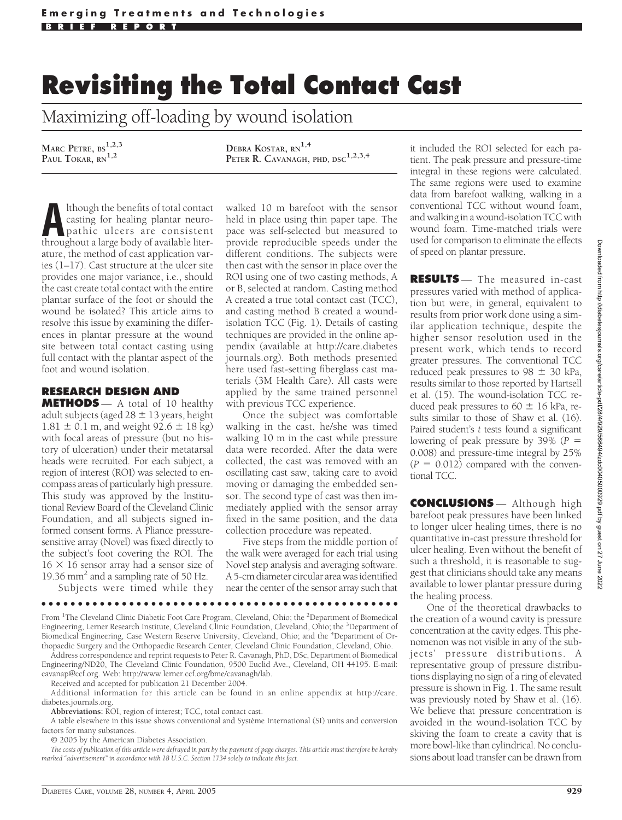## **Revisiting the Total Contact Cast**

Maximizing off-loading by wound isolation

**MARC PETRE, BS1,2,3 PAUL TOKAR, RN1,2**

**DEBRA KOSTAR, RN1,4 PETER R. CAVANAGH, PHD, DSC1,2,3,4**

Although the benefits of total contact<br>
casting for healing plantar neuro-<br>
pathic ulcers are consistent<br>
throughout a large body of available litercasting for healing plantar neurothroughout a large body of available literature, the method of cast application varies (1–17). Cast structure at the ulcer site provides one major variance, i.e., should the cast create total contact with the entire plantar surface of the foot or should the wound be isolated? This article aims to resolve this issue by examining the differences in plantar pressure at the wound site between total contact casting using full contact with the plantar aspect of the foot and wound isolation.

## **RESEARCH DESIGN AND**

**METHODS** — A total of 10 healthy adult subjects (aged  $28 \pm 13$  years, height  $1.81 \pm 0.1$  m, and weight  $92.6 \pm 18$  kg) with focal areas of pressure (but no history of ulceration) under their metatarsal heads were recruited. For each subject, a region of interest (ROI) was selected to encompass areas of particularly high pressure. This study was approved by the Institutional Review Board of the Cleveland Clinic Foundation, and all subjects signed informed consent forms. A Pliance pressuresensitive array (Novel) was fixed directly to the subject's foot covering the ROI. The  $16 \times 16$  sensor array had a sensor size of 19.36 mm<sup>2</sup> and a sampling rate of 50 Hz.

Subjects were timed while they

walked 10 m barefoot with the sensor held in place using thin paper tape. The pace was self-selected but measured to provide reproducible speeds under the different conditions. The subjects were then cast with the sensor in place over the ROI using one of two casting methods, A or B, selected at random. Casting method A created a true total contact cast (TCC), and casting method B created a woundisolation TCC (Fig. 1). Details of casting techniques are provided in the online appendix (available at http://care.diabetes journals.org). Both methods presented here used fast-setting fiberglass cast materials (3M Health Care). All casts were applied by the same trained personnel with previous TCC experience.

Once the subject was comfortable walking in the cast, he/she was timed walking 10 m in the cast while pressure data were recorded. After the data were collected, the cast was removed with an oscillating cast saw, taking care to avoid moving or damaging the embedded sensor. The second type of cast was then immediately applied with the sensor array fixed in the same position, and the data collection procedure was repeated.

Five steps from the middle portion of the walk were averaged for each trial using Novel step analysis and averaging software. A 5-cm diameter circular area was identified near the center of the sensor array such that

●●●●●●●●●●●●●●●●●●●●●●●●●●●●●●●●●●●●●●●●●●●●●●●●●

From <sup>1</sup>The Cleveland Clinic Diabetic Foot Care Program, Cleveland, Ohio; the <sup>2</sup>Department of Biomedical Engineering, Lerner Research Institute, Cleveland Clinic Foundation, Cleveland, Ohio; the <sup>3</sup>Department of Biomedical Engineering, Case Western Reserve University, Cleveland, Ohio; and the <sup>4</sup>Department of Orthopaedic Surgery and the Orthopaedic Research Center, Cleveland Clinic Foundation, Cleveland, Ohio.

Address correspondence and reprint requests to Peter R. Cavanagh, PhD, DSc, Department of Biomedical Engineering/ND20, The Cleveland Clinic Foundation, 9500 Euclid Ave., Cleveland, OH 44195. E-mail: cavanap@ccf.org. Web: http://www.lerner.ccf.org/bme/cavanagh/lab.

Received and accepted for publication 21 December 2004.

Additional information for this article can be found in an online appendix at http://care. diabetes.journals.org.

**Abbreviations:** ROI, region of interest; TCC, total contact cast.

A table elsewhere in this issue shows conventional and Système International (SI) units and conversion factors for many substances.

© 2005 by the American Diabetes Association.

*The costs of publication of this article were defrayed in part by the payment of page charges. This article must therefore be hereby marked "advertisement" in accordance with 18 U.S.C. Section 1734 solely to indicate this fact.*

it included the ROI selected for each patient. The peak pressure and pressure-time integral in these regions were calculated. The same regions were used to examine data from barefoot walking, walking in a conventional TCC without wound foam, and walking in a wound-isolation TCC with wound foam. Time-matched trials were used for comparison to eliminate the effects of speed on plantar pressure.

**RESULTS** — The measured in-cast pressures varied with method of application but were, in general, equivalent to results from prior work done using a similar application technique, despite the higher sensor resolution used in the present work, which tends to record greater pressures. The conventional TCC reduced peak pressures to 98  $\pm$  30 kPa, results similar to those reported by Hartsell et al. (15). The wound-isolation TCC reduced peak pressures to  $60 \pm 16$  kPa, results similar to those of Shaw et al. (16). Paired student's *t* tests found a significant lowering of peak pressure by 39% (*P* 0.008) and pressure-time integral by 25%  $(P = 0.012)$  compared with the conventional TCC.

**CONCLUSIONS** — Although high barefoot peak pressures have been linked to longer ulcer healing times, there is no quantitative in-cast pressure threshold for ulcer healing. Even without the benefit of such a threshold, it is reasonable to suggest that clinicians should take any means available to lower plantar pressure during the healing process.

One of the theoretical drawbacks to the creation of a wound cavity is pressure concentration at the cavity edges. This phenomenon was not visible in any of the subjects' pressure distributions. A representative group of pressure distributions displaying no sign of a ring of elevated pressure is shown in Fig. 1. The same result was previously noted by Shaw et al. (16). We believe that pressure concentration is avoided in the wound-isolation TCC by skiving the foam to create a cavity that is more bowl-like than cylindrical. No conclusions about load transfer can be drawn from